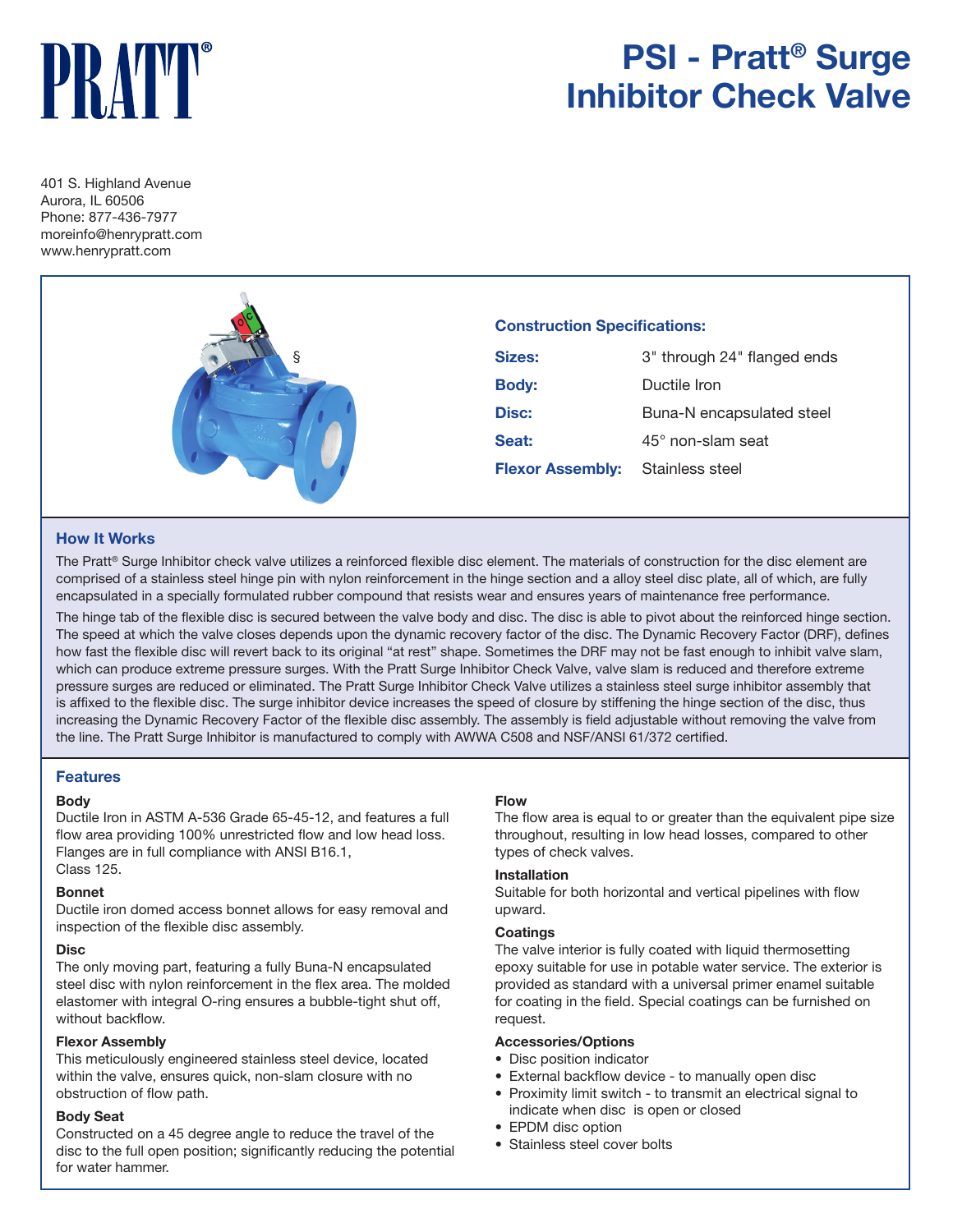# PRAY

# **PSI - Pratt® Surge Inhibitor Check Valve**

401 S. Highland Avenue Aurora, IL 60506 Phone: 877-436-7977 moreinfo@henrypratt.com www.henrypratt.com



# **Construction Specifications:**

| Sizes:                                  | 3" through 24" flanged ends |  |  |
|-----------------------------------------|-----------------------------|--|--|
| <b>Body:</b>                            | Ductile Iron                |  |  |
| Disc:                                   | Buna-N encapsulated steel   |  |  |
| Seat:                                   | $45^{\circ}$ non-slam seat  |  |  |
| <b>Flexor Assembly:</b> Stainless steel |                             |  |  |

# **How It Works**

The Pratt® Surge Inhibitor check valve utilizes a reinforced flexible disc element. The materials of construction for the disc element are comprised of a stainless steel hinge pin with nylon reinforcement in the hinge section and a alloy steel disc plate, all of which, are fully encapsulated in a specially formulated rubber compound that resists wear and ensures years of maintenance free performance.

The hinge tab of the flexible disc is secured between the valve body and disc. The disc is able to pivot about the reinforced hinge section. The speed at which the valve closes depends upon the dynamic recovery factor of the disc. The Dynamic Recovery Factor (DRF), defines how fast the flexible disc will revert back to its original "at rest" shape. Sometimes the DRF may not be fast enough to inhibit valve slam, which can produce extreme pressure surges. With the Pratt Surge Inhibitor Check Valve, valve slam is reduced and therefore extreme pressure surges are reduced or eliminated. The Pratt Surge Inhibitor Check Valve utilizes a stainless steel surge inhibitor assembly that is affixed to the flexible disc. The surge inhibitor device increases the speed of closure by stiffening the hinge section of the disc, thus increasing the Dynamic Recovery Factor of the flexible disc assembly. The assembly is field adjustable without removing the valve from the line. The Pratt Surge Inhibitor is manufactured to comply with AWWA C508 and NSF/ANSI 61/372 certified.

## **Features**

#### **Body**

Ductile Iron in ASTM A-536 Grade 65-45-12, and features a full flow area providing 100% unrestricted flow and low head loss. Flanges are in full compliance with ANSI B16.1, Class 125.

#### **Bonnet**

Ductile iron domed access bonnet allows for easy removal and inspection of the flexible disc assembly.

#### **Disc**

The only moving part, featuring a fully Buna-N encapsulated steel disc with nylon reinforcement in the flex area. The molded elastomer with integral O-ring ensures a bubble-tight shut off, without backflow.

#### **Flexor Assembly**

This meticulously engineered stainless steel device, located within the valve, ensures quick, non-slam closure with no obstruction of flow path.

#### **Body Seat**

Constructed on a 45 degree angle to reduce the travel of the disc to the full open position; significantly reducing the potential for water hammer.

#### **Flow**

The flow area is equal to or greater than the equivalent pipe size throughout, resulting in low head losses, compared to other types of check valves.

#### **Installation**

Suitable for both horizontal and vertical pipelines with flow upward.

#### **Coatings**

The valve interior is fully coated with liquid thermosetting epoxy suitable for use in potable water service. The exterior is provided as standard with a universal primer enamel suitable for coating in the field. Special coatings can be furnished on request.

#### **Accessories/Options**

- Disc position indicator
- External backflow device to manually open disc
- Proximity limit switch to transmit an electrical signal to indicate when disc is open or closed
- EPDM disc option
- Stainless steel cover bolts